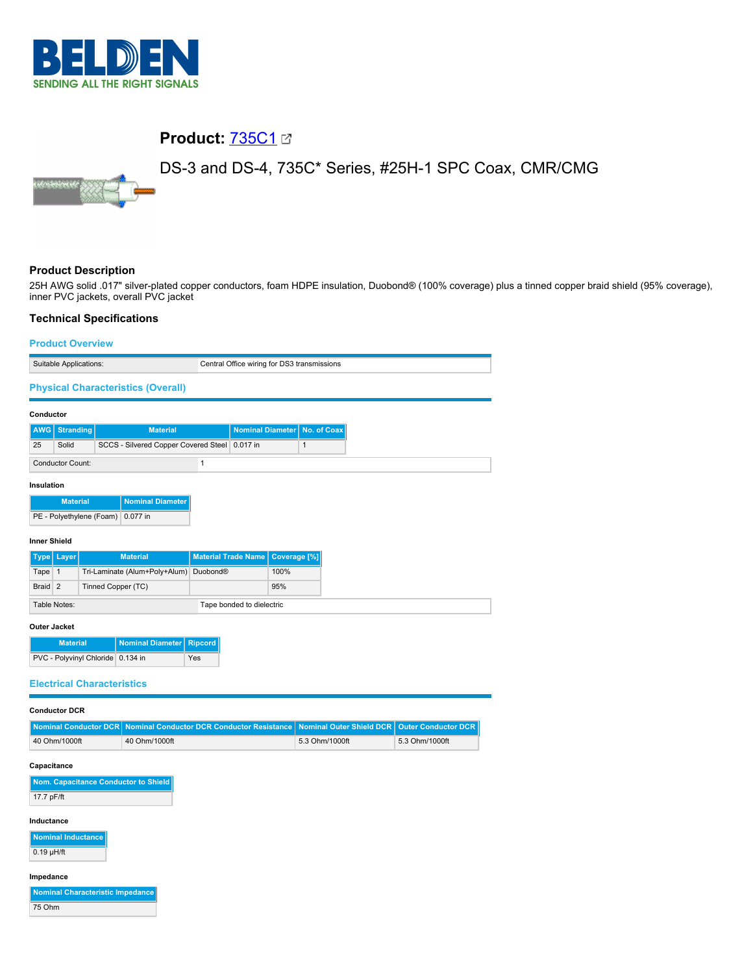

# **Product:** [735C1](https://catalog.belden.com/index.cfm?event=pd&p=PF_735C1&tab=downloads)

DS-3 and DS-4, 735C\* Series, #25H-1 SPC Coax, CMR/CMG



### **Product Description**

25H AWG solid .017" silver-plated copper conductors, foam HDPE insulation, Duobond® (100% coverage) plus a tinned copper braid shield (95% coverage), inner PVC jackets, overall PVC jacket

#### **Technical Specifications**

| <b>Product Overview</b>                 |                                                   |                |                            |                     |                                             |                            |
|-----------------------------------------|---------------------------------------------------|----------------|----------------------------|---------------------|---------------------------------------------|----------------------------|
| Suitable Applications:                  |                                                   |                |                            |                     | Central Office wiring for DS3 transmissions |                            |
|                                         | <b>Physical Characteristics (Overall)</b>         |                |                            |                     |                                             |                            |
| Conductor                               |                                                   |                |                            |                     |                                             |                            |
| AWG<br><b>Stranding</b>                 | <b>Material</b>                                   |                | <b>Nominal Diameter</b>    |                     | No. of Coax                                 |                            |
| 25<br>Solid                             | <b>SCCS - Silvered Copper Covered Steel</b>       |                | 0.017 in                   |                     | $\mathbf{1}$                                |                            |
| <b>Conductor Count:</b>                 |                                                   | $\mathbf{1}$   |                            |                     |                                             |                            |
| Insulation                              |                                                   |                |                            |                     |                                             |                            |
| <b>Material</b>                         | <b>Nominal Diameter</b>                           |                |                            |                     |                                             |                            |
| PE - Polyethylene (Foam)                | 0.077 in                                          |                |                            |                     |                                             |                            |
| <b>Inner Shield</b>                     |                                                   |                |                            |                     |                                             |                            |
| Type   Layer                            | <b>Material</b>                                   |                | <b>Material Trade Name</b> | <b>Coverage [%]</b> |                                             |                            |
| Tape<br>$\overline{1}$                  | Tri-Laminate (Alum+Poly+Alum)                     | Duobond®       |                            | 100%                |                                             |                            |
| $\overline{2}$<br><b>Braid</b>          | Tinned Copper (TC)                                |                |                            | 95%                 |                                             |                            |
| Table Notes:                            |                                                   |                | Tape bonded to dielectric  |                     |                                             |                            |
| <b>Outer Jacket</b>                     |                                                   |                |                            |                     |                                             |                            |
| <b>Material</b>                         | <b>Nominal Diameter</b>                           | <b>Ripcord</b> |                            |                     |                                             |                            |
| PVC - Polyvinyl Chloride 0.134 in       |                                                   | Yes            |                            |                     |                                             |                            |
| <b>Electrical Characteristics</b>       |                                                   |                |                            |                     |                                             |                            |
| <b>Conductor DCR</b>                    |                                                   |                |                            |                     |                                             |                            |
| <b>Nominal Conductor DCR</b>            | <b>Nominal Conductor DCR Conductor Resistance</b> |                |                            |                     | <b>Nominal Outer Shield DCR</b>             | <b>Outer Conductor DCR</b> |
| 40 Ohm/1000ft                           | 40 Ohm/1000ft                                     |                |                            |                     | 5.3 Ohm/1000ft                              | 5.3 Ohm/1000ft             |
| Capacitance                             |                                                   |                |                            |                     |                                             |                            |
| Nom. Capacitance Conductor to Shield    |                                                   |                |                            |                     |                                             |                            |
| 17.7 pF/ft                              |                                                   |                |                            |                     |                                             |                            |
| Inductance                              |                                                   |                |                            |                     |                                             |                            |
| <b>Nominal Inductance</b>               |                                                   |                |                            |                     |                                             |                            |
| $0.19$ µH/ft                            |                                                   |                |                            |                     |                                             |                            |
| Impedance                               |                                                   |                |                            |                     |                                             |                            |
| <b>Nominal Characteristic Impedance</b> |                                                   |                |                            |                     |                                             |                            |
| 75 Ohm                                  |                                                   |                |                            |                     |                                             |                            |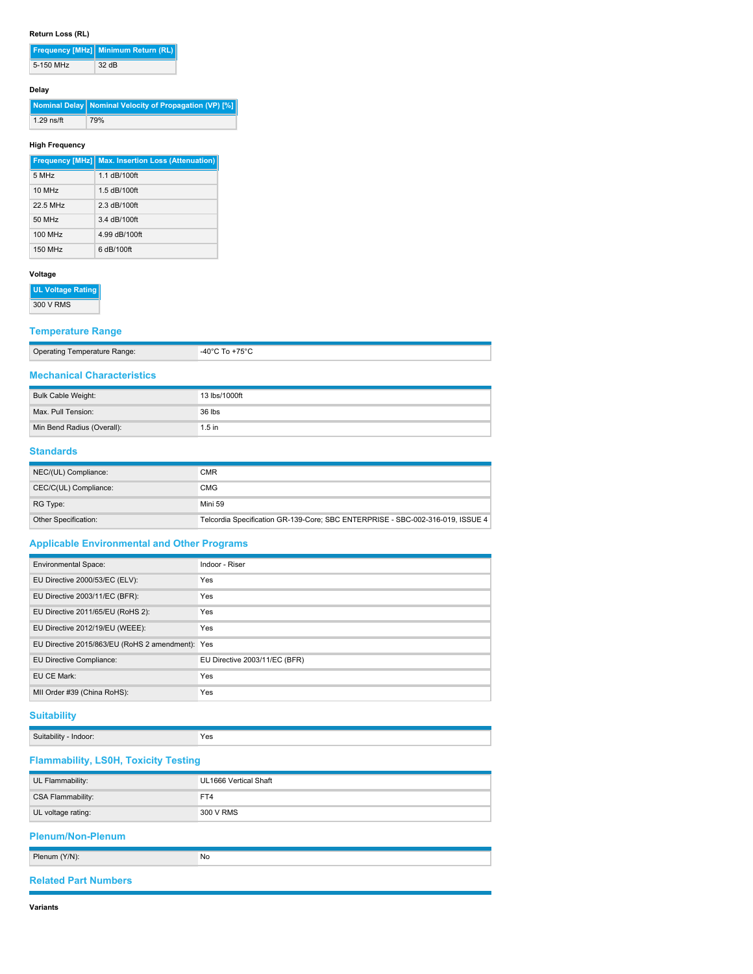#### **Return Loss (RL)**

|           | Frequency [MHz] Minimum Return (RL) |  |
|-----------|-------------------------------------|--|
| 5-150 MHz | 32 dB                               |  |

### **Delay**

**Nominal Delay Nominal Velocity of Propagation (VP) [%]** 1.29 ns/ft 79%

#### **High Frequency**

|          | <b>Frequency [MHz] Max. Insertion Loss (Attenuation)</b> |
|----------|----------------------------------------------------------|
| 5 MHz    | 1.1 dB/100ft                                             |
| 10 MHz   | 1.5 dB/100ft                                             |
| 22.5 MHz | 2.3 dB/100ft                                             |
| 50 MHz   | 3.4 dB/100ft                                             |
| 100 MHz  | 4.99 dB/100ft                                            |
| 150 MHz  | 6 dB/100ft                                               |

#### **Voltage**

**UL Voltage Rating**

300 V RMS

### **Temperature Range**

| <b>Operating Temperature Range:</b> | $+75^{\circ}C$<br>0.00C |
|-------------------------------------|-------------------------|
|                                     |                         |

# **Mechanical Characteristics**

| Bulk Cable Weight:         | 13 lbs/1000ft |
|----------------------------|---------------|
| Max. Pull Tension:         | 36 lbs        |
| Min Bend Radius (Overall): | $1.5$ in      |

#### **Standards**

| NEC/(UL) Compliance:  | <b>CMR</b>                                                                     |
|-----------------------|--------------------------------------------------------------------------------|
| CEC/C(UL) Compliance: | <b>CMG</b>                                                                     |
| RG Type:              | Mini 59                                                                        |
| Other Specification:  | Telcordia Specification GR-139-Core; SBC ENTERPRISE - SBC-002-316-019, ISSUE 4 |

### **Applicable Environmental and Other Programs**

| <b>Environmental Space:</b>                      | Indoor - Riser                |
|--------------------------------------------------|-------------------------------|
| EU Directive 2000/53/EC (ELV):                   | Yes                           |
| EU Directive 2003/11/EC (BFR):                   | Yes                           |
| EU Directive 2011/65/EU (RoHS 2):                | Yes                           |
| EU Directive 2012/19/EU (WEEE):                  | Yes                           |
| EU Directive 2015/863/EU (RoHS 2 amendment): Yes |                               |
| EU Directive Compliance:                         | EU Directive 2003/11/EC (BFR) |
| EU CE Mark:                                      | <b>Yes</b>                    |
| MII Order #39 (China RoHS):                      | Yes                           |
|                                                  |                               |

### **Suitability**

| Suit.<br>hilit<br>goor.<br>ш<br>. | res |
|-----------------------------------|-----|
|                                   |     |

## **Flammability, LS0H, Toxicity Testing**

| UL Flammability:            | UL1666 Vertical Shaft |
|-----------------------------|-----------------------|
| <b>CSA Flammability:</b>    | FT4                   |
| UL voltage rating:          | 300 V RMS             |
| <b>Plenum/Non-Plenum</b>    |                       |
| Plenum (Y/N):               | No                    |
| <b>Related Part Numbers</b> |                       |

#### **Variants**